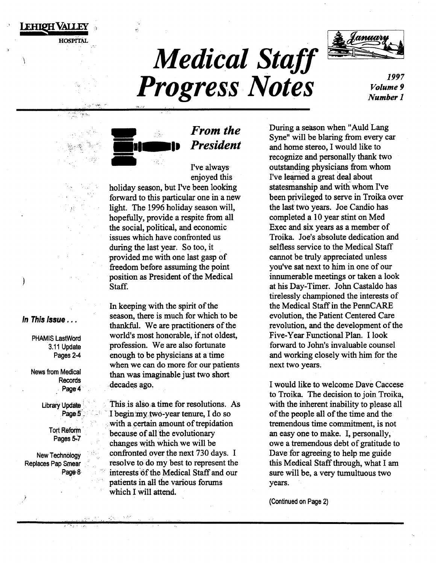# **Medical Staff Progress Notes**



1997 *Volume 9 Number]* 



. ".';

# • *From the President*

I've always· enjoyed this holiday season, but I've been looking forward to this particular one in a new light. The 1996 holiday season will, hopefully, provide a respite from all the social, political, and economic issues which have confronted us during the last year. So too, it provided me with one last gasp of freedom before assuming the point position as President of the Medical Staff.

In keeping with the spirit of the season, there is much for which to be thankful. We are practitioners of the world's most honorable, if not oldest, profession. We are also fortunate enough to be physicians at a time when we can do more for our patients than was imaginable just two short decades ago.

This is also a time for resolutions. As I begin my two-year tenure, I do so with a certain amount of trepidation because of all the evolutionary changes with which we will be confronted over the next 730 days. I resolve to do my best to represent the interests of the Medical Staff and our patients in all the various forums which I Will attend.

During a season when "Auld Lang Syne" will be blaring from every car and home stereo, I would like to recognize and personally thank two outstanding physicians from whom I've learned a great deal about statesmanship and with whom I've been privileged to serve in Troika over the last two years. Joe Candio has completed a 10 year stint on Med Exec and six years as a member of Troika. Joe's absolute dedication and selfless service to the Medical Staff cannot be truly appreciated unless you've sat next to him in one of our innumerable meetings or taken a look at his Day-Timer. John Castaldo has tirelessly championed the interests of the Medical Staff in the PennCARE evolution, the Patient Centered Care revolution, and the development of the Five-Year Functional Plan. I look forward to John's invaluable counsel and working closely with him for the next two years.

I would like to welcome Dave Caccese to Troika. The decision to join Troika, with the inherent inability to please all of the people all of the time and the tremendous time commitment, is not an easy one to make. I, personally, owe a tremendous debt of gratitude to Dave for agreeing to help me guide this Medical Staff through, what I am sure will be, a very tumultuous two years.

(Continued on Page 2)

In This Issue ...

Lehigh Valley

 $\int$ 

**HOSPITAL** 

PHAMIS LastWord 3.11 Update Pages 2-4

News from Medical Records Page 4

> **Library Update** Page 5

> > Tort Reform Pages *S:.7*

> > > ,.·· ....

**New Technology** Replaces Pap Smear Page 8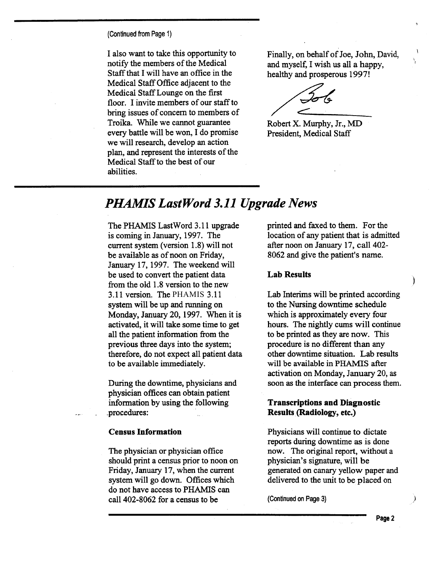(Continued from Page 1)

I also want to take this opportunity to notify the members of the Medical Staff that I will have an office in the Medical Staff Office adjacent to the Medical Staff Lounge on the first floor. I invite members of our staff to bring issues of concern to members of Troika. While we cannot guarantee every battle will be won, I do promise we will research, develop an action plan, and represent the interests of the Medical Staff to the best of our abilities.

Finally, on behalf of Joe, John, David, and myself, I wish us all a happy, healthy and prosperous 1997!

' r

Robert X. Murphy, Jr., MD President, Medical Staff

# *PHAMIS LastWord 3.11 Upgrade News*

The PHAMIS LastWord 3.11 upgrade is coming in January, 1997. The current system (version 1.8) will not be available as of noon on Friday, January 17, 1997. The weekend will be used to convert the patient data from the old 1.8 version to the new 3.11 version. The PHAMIS 3.11 system will be up and running on Monday, January 20, 1997. When it is activated, it will take some time to get all the patient information from the previous three days into the system; therefore, do not expect all patient data to be available immediately.

During the downtime, physicians and physician offices can obtain patient information by using the following \_procedures:

#### **Census Information**

The physician or physician office should print a census prior to noon on Friday, January 17, when the current system will go down. Offices which do not have access to PHAMIS can call 402-8062 for a census to be

printed and faxed to them. For the location of any patient that is admitted after noon on January 17, call 402-8062 and give the patient's name.

### **Lab Results**

Lab Interims will be printed according to the Nursing downtime schedule which is approximately every four hours. The nightly cums will continue to be printed as they are now. This procedure is no different than any other downtime situation. Lab results will be available in PHAMIS after activation on Monday, January 20, as soon as the interface can process them.

### **Transcriptions and Diagnostic Results. (Radiology, etc.)**

Physicians will continue to dictate reports during downtime as is done now. The original report, without a physician's signature, will be generated on canary yellow paper and delivered to the unit to be placed on

(Continued on Page 3)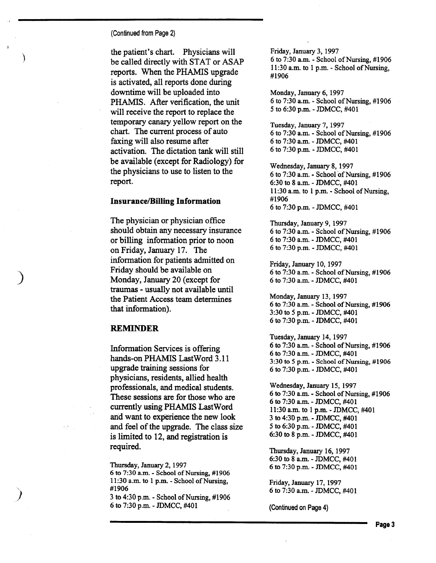(Continued from Page 2}

)

)

' )

the patient's chart. Physicians will be called directly with STAT or ASAP reports. When the PHAMIS upgrade is activated, all reports done during downtime will be uploaded into PHAMIS. After verification, the unit will receive the report to replace the temporary canary yellow report on the chart. The current process of auto faxing will also resume after activation. The dictation tank will still be available (except for Radiology) for the physicians to use to listen to the report.

#### **Insurance/Billing Information**

The physician or physician office should obtain any necessary insurance or billing information prior to noon on Friday, January 17. The information for patients admitted on Friday should be available on Monday, January 20 (except for traumas - usually not available until the Patient Access team determines that information).

### **REMINDER**

Information Services is offering hands-on PHAMIS LastWord 3.11 upgrade training sessions for physicians, residents, allied health professionals, and medical students. These sessions are for those who are currently using PHAMIS Last Word and want to experience the new look and feel of the upgrade. The class size is limited to 12, and registration is required.

Thursday, January 2, 1997 6 to 7:30 a.m. - School of Nursing, #1906 11:30 a.m. to 1 p.m. - School of Nursing, #1906

3 to 4:30p.m.- School of Nursing, #1906 6 to 7:30p.m.- JDMCC, #401

Friday, January 3, 1997 6 to 7:30 a.m. - School of Nursing, #1906 11:30 a.m. to 1 p.m. - School of Nursing, #1906

Monday, January 6, 1997 6 to 7:30 a.m. - School of Nursing, #1906 5 to 6:30 p.m. - JDMCC, #401

Tuesday, January 7, 1997 6 to 7:30 a.m. - School of Nursing, #1906 6 to 7:30a.m.- JDMCC, #401 6 to 7:30 p.m. - JDMCC, #401

Wednesday, January 8, 1997 6 to 7:30a.m.- School.ofNursing, #1906 6:30 to 8 a.m.- JDMCC, #401 11:30 a.m. to 1 p.m. - School of Nursing, #1906 6 to 7:30p.m.- JDMCC, #401

Thursday, January 9, 1997 6 to 7:30 a.m. - School of Nursing, #1906 6 to 7:30a.m.- JDMCC, #401 6 to 7:30 p.m. - JDMCC, #401

Friday, January 10, 1997 6 to 7:30 a.m. - School of Nursing, #1906 6 to 7:30a.m.- JDMCC, #401

Monday, January 13, 1997 6 to 7:30 a.m. - School of Nursing, #1906 3:30 to *5* p.m.- JDMCC, #401 6 to 7:30p.m.- JDMCC, #401

Tuesday, January 14, 1997 6 to  $7:30$  a.m. - School of Nursing,  $\#1906$ 6 to 7:30a.m.- JDMCC, #401 3:30 to 5 p.m. - School of Nursing, #1906 6 to 7:30p.m.- JDMCC, #401

Wednesday, January 15, 1997 6 to 7:30 a.m. - School of Nursing, #1906 6 to 7:30a.m.- JDMCC, #401 11:30 a.m. to 1 p.m.- JDMCC, #401 3 to 4:30 p.m. - JDMCC, #401 5 to 6:30p.m.- JDMCC, #401 6:30 to 8 p.m.- JDMCC, #401

Thursday, January 16, 1997 6:30 to 8 a.m.- JDMCC, #401 6 to 7:30p.m.- JDMCC, #401

Friday, January 17, 1997 6 to 7:30a.m.- JDMCC, #401

(Continued on Page 4}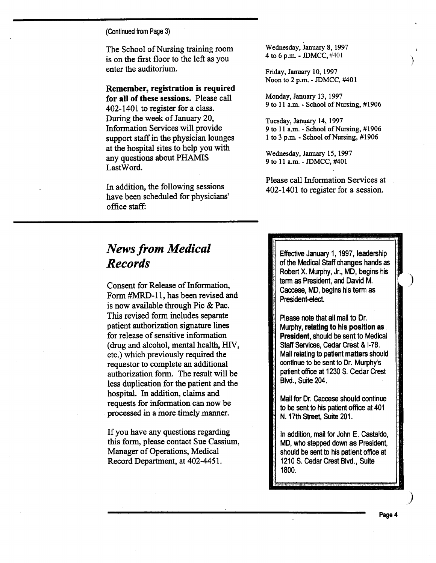(Continued from Page 3)

The School of Nursing training room is on the first floor to the left as you enter the auditorium.

Remember, registration is required for all of these sessions. Please call 402-1401 to register for a class. During the week of January 20, Information Services will provide support staff in the physician lounges at the hospital sites to help you with any questions about PHAMIS Last Word.

In addition, the following sessions have been scheduled for physicians' office staff:

Wednesday, January 8, 1997 4 to 6 p.m.- JDMCC, #401

Friday, January 10, 1997 Noon to 2 p.m.- JDMCC, #401

Monday, January 13, 1997 9 to 11 a.m. - School of Nursing, #1906 }

)

Tuesday, January 14, 1997 9 to 11 a.m. - School of Nursing, #1906 1 to 3 p.m. - School of Nursing, #1906

Wednesday, January 15, 1997 9 to 11 a.m. - JDMCC, #401

Please call Information Services at 402-1401 to register for a session.

# *News from Medical Records*

Consent for Release of Information, Form #MRD-11, has been revised and is now available through Pic & Pac. This revised form includes separate patient authorization signature lines for release of sensitive information (drug and alcohol, mental health, HIV, etc.) which previously required the requestor to complete an additional authorization form. The result will be less duplication for the patient and the hospital. In addition, claims and requests for information can now be processed in a more timelymanner.

If you have any questions regarding this form, please contact Sue Cassium, Manager of Operations, Medical Record Department, at 402-4451.

Effective January 1, 1997, leadership of the Medical Staff changes hands as Robert X. Murphy, Jr., MD, begins his term as President, and David M. Caccese, MD, begins his term as President-elect.

Please note that all mail to Dr. Murphy, relating to his position as President, should be sent to Medical Staff Services, Cedar Crest & 1-78. Mail relating to patient matters should continue to be sent to Dr. Murphy's patient office at 1230 S. Cedar Crest Blvd., Suite 204.

Mail for Dr. Caccese should continue to be sent to his patient office at 401 N. 17th Street, Suite 201.

In addition, mail for John E. Castaldo, MD, who stepped down as President, should be sent to his patient office at 1210 S. Cedar Crest Blvd., Suite 1800.

)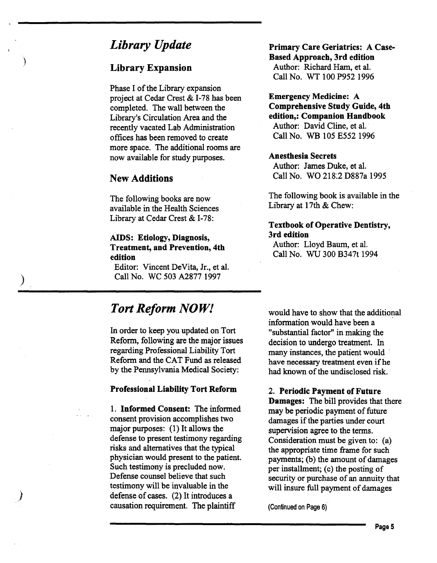# *Library Update*

### Library Expansion

)

)

Phase I of the Library expansion project at Cedar Crest & I-78 has been completed. The wall between the Library's Circulation Area and the recently vacated Lab Administration offices has been removed to create more space. The additional rooms are now available for study purposes.

## New Additions

The following books are now available in the Health Sciences Library at Cedar Crest & I-78:

### AIDS: Etiology, Diagnosis, Treatment, and Prevention, 4th edition

Editor: Vincent DeVita, Jr., et al. Call No. WC 503 A2877 1997

# *Tort Reform NOW!*

In order to keep you updated on Tort Reform, following are the major issues regarding Professional Liability Tort Reform and the CAT Fund as released by the Pennsylvania Medical Society:

### Professional Liability Tort Reform

1. Informed Consent: The informed consent provision accomplishes two major purposes: (1) It allows the defense to present testimony regarding risks and alternatives that the typical physician would present to the patient. Such testimony is precluded now. Defense counsel believe that such testimony will be invaluable in the defense of cases. (2) It introduces a causation requirement. The plaintiff

Primary Care Geriatrics: A Case-Based Approach, 3rd edition Author: Richard Ham, et al. Call No. WT 100 P952 1996

Emergency Medicine: A Comprehensive Study Guide, 4th edition,: Companion Handbook Author: David Cline, et al. Call No. WB 105 E552 1996

### Anesthesia Secrets

Author: James Duke, et al. Call No. WO 218:2 D887a 1995

The following book is available in the Library at 17th & Chew:

### Textbook of Operative Dentistry, 3rd edition

Author: Lloyd Baum, et al. Call No. WU 300 B347t 1994

would have to show that the additional information would have been a "substantial factor" in making the decision to undergo treatment. In many instances, the patient would have necessary treatment even if he had known of the undisclosed risk.

### 2. Periodic Payment of Future

Damages: The bill provides that there may be periodic payment of future damages if the parties under court supervision agree to the terms. Consideration must be given to: (a) the appropriate time frame for such payments; (b) the amount of damages per installment; (c) the posting of security or purchase of an annuity that will insure full payment of damages

(Continued on Page 6)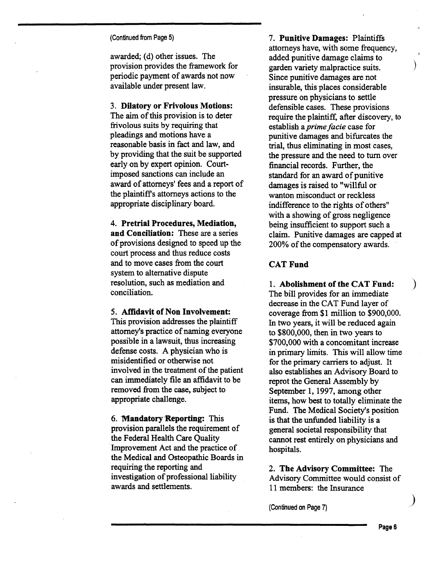#### (Continued from Page 5)

awarded; (d) other issues. The provision provides the framework for periodic payment of awards not now available under present law.

### 3. Dilatory or Frivolous Motions:

The aim of this provision is to deter frivolous suits by requiring that pleadings and motions have a reasonable basis in fact and law, and by providing that the suit be supported early on by expert opinion. Courtimposed sanctions can include an award of attorneys' fees and a report of the plaintiff's attorneys actions to the appropriate disciplinary board.

4. Pretrial Procedures, Mediation, and Conciliation: These are a series of provisions designed to speed up the court process and thus reduce costs and to move cases from the court system to alternative dispute resolution, such as mediation and conciliation.

#### 5. Affidavit of Non Involvement:

This provision addresses the plaintiff attorney's practice of naming everyone possible in a lawsuit, thus increasing defense costs. A physician who is misidentified or otherwise not involved in the treatment of the patient can immediately file an affidavit to be removed from the case, subject to appropriate challenge.

6. **Mandatory Reporting:** This provision parallels the requirement of the Federal Health Care Quality Improvement Act and the practice of the Medical and Osteopathic Boards in requiring the reporting and investigation of professional liability awards and settlements.

7. Punitive Damages: Plaintiffs attorneys have, with some frequency, added punitive damage claims to garden variety malpractice suits. ) Since punitive damages are not insurable, this places considerable pressure on physicians to settle defensible cases. These provisions require the plaintiff, after discovery, to establish a *prime facie* case for punitive damages and bifurcates the trial, thus eliminating in most cases, the pressure and the need to turn over financial records. Further, the standard for an award of punitive damages is raised to "willful or wanton misconduct or reckless indifference to the rights of others" with a showing of gross negligence being insufficient to support such a claim. Punitive damages are capped at 200% of the compensatory awards.

### CAT Fund

1. Abolishment of the CAT Fund: The bill provides for an immediate decrease in the CAT Fund layer of coverage from \$1 million to \$900,000. In two years, it will be reduced again to \$800,000, then in two years to \$700,000 with a concomitant increase in primary limits. This will allow time for the primary carriers to adjust. It also establishes an Advisory Board to reprot the General Assembly by September 1, 1997, among other items, how best to totally eliminate the Fund. The Medical Society's position is that the unfunded liability is a general societal responsibility that cannot rest entirely on physicians and hospitals.

2. The Advisory Committee: The Advisory Committee would consist of 11 members: the Insurance

(Continued on Page 7)

 $\big)$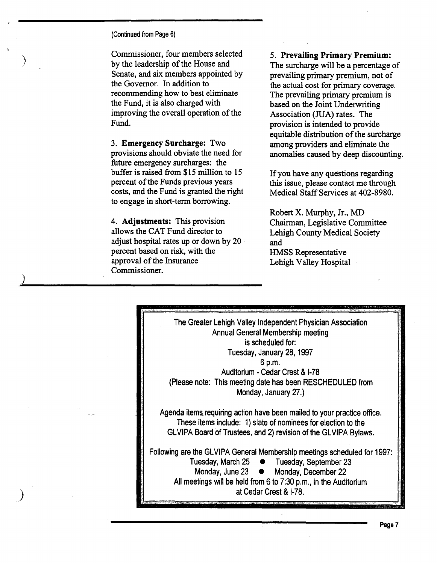(Continued from Page 6)

)

)

Commissioner, four members selected by the leadership of the House and Senate, and six members appointed by the Governor. In addition to recommending how to best eliminate the Fund, it is also charged with improving the overall operation of the Fund.

3. Emergency Surcharge: Two provisions should obviate the need for future emergency surcharges: the buffer is raised from \$15 million to 15 percent of the Funds previous years costs, and the Fund is granted the right to engage in short-term borrowing.

4. Adjustments: This provision allows the CAT Fund director to adjust hospital rates up or down by 20 · percent based on risk, with the approval of the Insurance Commissioner.

5. Prevailing Primary Premium: The surcharge will be a percentage of prevailing primary premium, not of the actual cost for primary coverage. The prevailing primary premium is based on the Joint Underwriting Association (JUA) rates. The provision is intended to provide equitable distribution of the surcharge among providers and eliminate the anomalies caused by deep discounting.

If you have any questions regarding this issue, please contact me through Medical Staff Services at 402-8980.

Robert X. Murphy, Jr., MD Chairman, Legislative Committee Lehigh County Medical Society and HMSS Representative Lehigh Valley Hospital

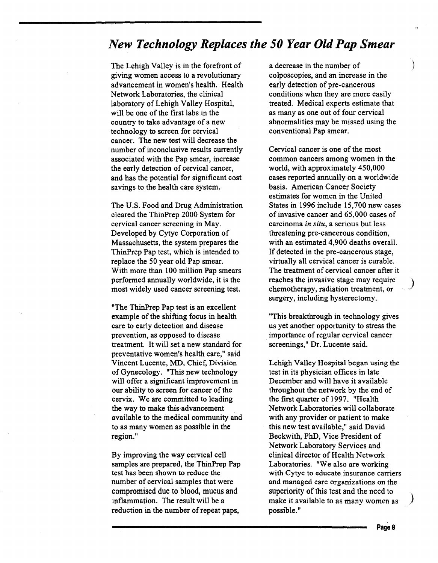# *New Technology Replaces the 50 Year Old Pap Smear*

The Lehigh Valley is in the forefront of giving women access to a revolutionary advancement in women's health. Health Network Laboratories, the clinical laboratory of Lehigh Valley Hospital, will be one of the first labs in the country to take advantage of a new technology to screen for cervical cancer. The new test will decrease the number of inconclusive results currently associated with the Pap smear, increase the early detection of cervical cancer, and has the potential for significant cost savings to the health care system.

The U.S. Food and Drug Administration cleared the ThinPrep 2000 System for cervical cancer screening in May. Developed by Cytyc Corporation of Massachusetts, the system prepares the ThinPrep Pap test, which is intended to replace the 50 year old Pap smear. With more than 100 million Pap smears performed annually worldwide, it is the most widely used cancer screening test.

"The ThinPrep Pap test is an excellent example of the shifting focus in health care to early detection and disease prevention, as opposed to disease treatment. It will set a new standard for preventative women's health care," said Vincent Lucente, MD, Chief, Division of Gynecology. "This new technology will offer a significant improvement in our ability to screen for cancer of the cervix. We are committed to leading the way to make this·advancement available to the medical community and to as many women as possible in the region."

By improving the way cervical cell samples are prepared, the ThinPrep Pap test has been shown to reduce the number of cervical samples that were compromised due to blood, mucus and inflammation. The result will be a reduction in the number of repeat paps,

a decrease in the number of colposcopies, and an increase in the early detection of pre-cancerous conditions when they are more easily treated. Medical experts estimate that as many as one out of four cervical abnormalities may be missed using the conventional Pap smear.

Cervical cancer is one of the most common cancers among women in the world, with approximately 450,000 cases reported annually on a worldwide basis. American Cancer Society estimates for women in the United States in 1996 include 15,700 new cases of invasive cancer and 65,000 cases of carcinoma *in situ,* a serious but less threatening pre-cancerous condition, with an estimated 4,900 deaths overall. If detected in the pre-cancerous stage, virtually all cervical cancer is curable. The treatment of cervical cancer after it reaches the invasive stage may require ) chemotherapy, radiation treatment, or surgery, including hysterectomy.

"This breakthrough in technology gives us yet another opportunity to stress the importance of regular cervical cancer screenings," Dr. Lucente said.

Lehigh Valley Hospital began using the test in its physician offices in late December and will have it available throughout the network by the end of the first quarter of 1997. "Health Network Laboratories will collaborate with any provider or patient to make this new test available," said David Beckwith, PhD, Vice President of Network Laboratory Services and clinical director of Health Network Laboratories. "We also are working with Cytyc to educate insurance carriers and managed care organizations on the superiority of this test and the need to *)*  make it available to as many women as possible."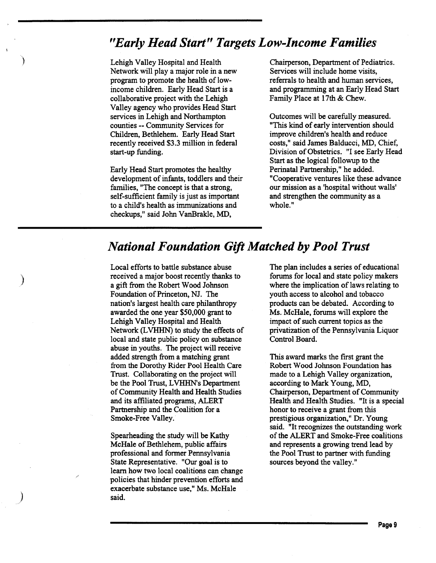# *"Early Head Start" Targets Low-Income Families*

Lehigh Valley Hospital and Health Network will play a major role in a new program to promote the health of lowincome children. Early Head Start is a collaborative project with the Lehigh Valley agency who provides Head Start services in Lehigh and Northampton counties -- Community Services for Children, Bethlehem. Early Head Start recently received \$3.3 million in federal start-up funding.

)

)

)

Early Head Start promotes the healthy development of infants, toddlers and their families, "The concept is that a strong, self-sufficient family is just as important to a child's health as immunizations and checkups," said John VanBrakle, MD,

Chairperson, Department of Pediatrics. Services will include home visits, referrals to health and human services, and programming at an Early Head Start Family Place at 17th & Chew.

Outcomes will be carefully measured. "This kind of early intervention should improve children's health and reduce costs," said James Balducci, MD, Chief, Division of Obstetrics. "I see Early Head Start as the logical followup to the Perinatal Partnership," he added. "Cooperative ventures like these advance our mission as a 'hospital without walls' and strengthen the community as a whole."

# *National Foundation Gift Matched by Pool Trust*

Local efforts to battle substance abuse received a major boost recently thanks to a gift from the Robert Wood Johnson Foundation of Princeton, NJ. The nation's largest health care philanthropy awarded the one year \$50,000 grant to Lehigh Valley Hospital and Health Network (LVHHN) to study the effects of local and state public policy on substance abuse in youths. The project will receive added strength from a matching grant from the Dorothy Rider Pool Health Care Trust. Collaborating on the project will be the Pool Trust, LVHHN's Department of Community Health and Health Studies and its affiliated programs, ALERT Partnership and the Coalition for a Smoke-Free Valley.

Spearheading the study will be Kathy McHale of Bethlehem, public affairs professional and former Pennsylvania State Representative. "Our goal is to learn how two local coalitions can change policies that hinder prevention efforts and exacerbate substance use," Ms. McHale said.

The plan includes a series of educational forums for local and state policy makers where the implication of laws relating to youth access to alcohol and tobacco products can be debated. According to Ms. McHale, forums will explore the impact of such current topics as the privatization of the Pennsylvania Liquor Control Board.

This award marks the first grant the Robert Wood Johnson Foundation has made to a Lehigh Valley organization, according to Mark Young, MD, Chairperson, Department of Community Health and Health Studies. "It is a special honor to receive a grant from this prestigious organization," Dr. Young said. "It recognizes the outstanding work of the ALERT and Smoke-Free coalitions and represents a growing trend lead by the Pool Trust to partner with funding sources beyond the valley."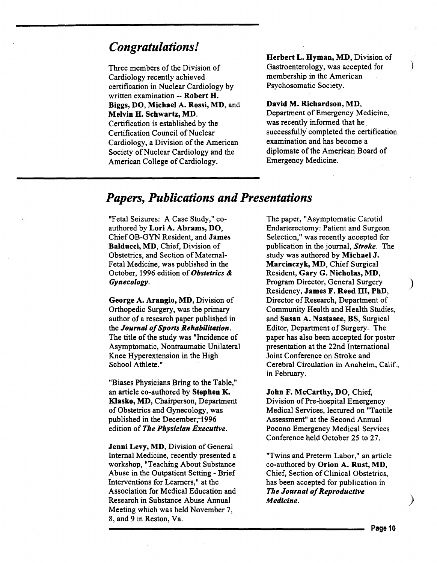# *Congratulations!*

Three members of the Division of Cardiology recently achieved certification in Nuclear Cardiology by written examination -- Robert H. Biggs, DO, Michael A. Rossi, MD, and Melvin H. Schwartz, MD. Certification is established by the Certification Council of Nuclear Cardiology, a Division of the American Society of Nuclear Cardiology and the American College of Cardiology.

Herbert L. Hyman, MD, Division of Gastroenterology, was accepted for membership in the American Psychosomatic Society.

 $\big)$ 

#### David M. Richardson, MD,

Department of Emergency Medicine, was recently informed that he successfully completed the certification examination and has become a diplomate of the American Board of Emergency Medicine.

# *Papers, Publications and Presentations*

"Fetal Seizures: A Case Study," coauthored by Lori A. Abrams, DO, ChiefOB-GYN Resident, and James Balducci, MD, Chief, Division of Obstetrics, and Section of Maternal-Fetal Medicine, was published in the October, 1996 edition of *Obstetrics* & *Gynecology.* 

George A. Arangio, MD, Division of Orthopedic Surgery, was the primary author of a research paper published in the *Journal of Sports Rehabilitation.*  The title of the study was "Incidence of Asymptomatic, Nontraumatic Unilateral Knee Hyperextension in the High School Athlete."

"Biases Physicians Bring to the Table," an article co-authored by Stephen K. Klasko, MD, Chairperson, Department of Obstetrics and Gynecology, was published in the December, 1996 edition of *The Physician Executive.* 

Jenni Levy, MD, Division of General Internal Medicine, recently presented a workshop, "Teaching About Substance Abuse in the Outpatient Setting - Brief Interventions for Learners," at the Association for Medical Education and Research in Substance Abuse Annual Meeting which was held November 7, 8, and 9 in Reston, Va.

The paper, "Asymptomatic Carotid Endarterectomy: Patient and Surgeon Selection," was recently accepted for publication in the journal, *Stroke.* The study was authored by Michael J. Marcinczyk, MD, Chief Surgical Resident, Gary G. Nicholas, MD, Program Director, General Surgery ) Residency, James F. Reed Til, PhD, Director of Research, Department of Community Health and Health Studies, and Susan A. Nastasee, BS, Surgical Editor, Department of Surgery. The paper has also been accepted for poster presentation at the 22nd International Joint Conference on Stroke and Cerebral Circulation in Anaheim, Calif., in February.

John F. McCarthy, DO, Chief, Division of Pre-hospital Emergency Medical Services, lectured on "Tactile Assessment" at the Second Annual Pocono Emergency Medical Services Conference held October 25 to 27.

"Twins and Preterm Labor," an article co-authored by Orion A. Rust, MD, Chief, Section of Clinical Obstetrics, has been accepted for publication in *The Journal of Reproductive Medicine.* 

Page 10

 $\left.\rule{0pt}{12pt}\right)$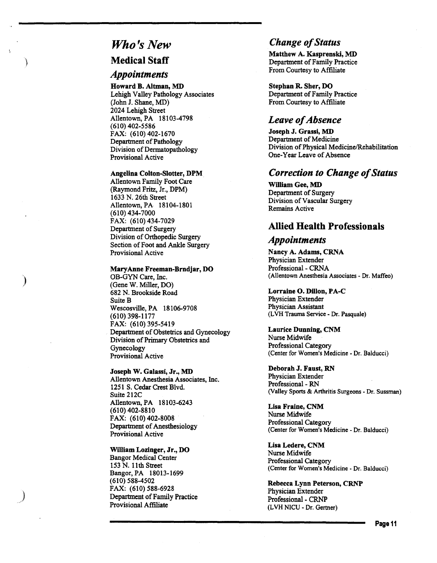# *Who's New*

### Medical Staff

### *Appointments*

Howard B. Altman, MD Lehigh Valley Pathology Associates (John J. Shane, MD) 2024 Lehigh Street Allentown, PA 18103-4798 (610) 402-5586 FAX: (610) 402-1670 Department of Pathology Division of Dermatopathology Provisional Active

#### Angelina Colton-Siotter, DPM

Allentown Family Foot Care (Raymond Fritz, Jr., DPM) 1633 N. 26th Street Allentown, PA 18104-1801 (610) 434-7000 FAX: (610) 434-7029 Department of Surgery Division of Orthopedic Surgery Section of Foot and Ankle Surgery Provisional Active

#### MaryAnne Freeman-Brndjar, DO

)

)

OB-GYN Care, Inc. (Gene W. Miller, DO) 682 N. Brookside Road Suite B Wescosville, PA 18106-9708 (610) 398-1177 FAX: (610) 395-5419 Department of Obstetrics and Gynecology Division of Primary Obstetrics and Gynecology Provisional Active

#### Joseph W. Galassi, Jr., MD

Allentown Anesthesia Associates, Inc. 1251 S. Cedar Crest Blvd. Suite 212C Allentown, PA 18103-6243 (610) 402-8810 FAX: (610) 402-8008 Department of Anesthesiology Provisional Active

#### William Lozinger, Jr., DO

Bangor Medical Center 153 N. 11th Street Bangor, PA 18013-1699 (610) 588-4502 FAX: (610) 588-6928 Department of Family Practice Provisional Affiliate

# *Change of Status*

Matthew A. Kasprenski, MD Department of Family Practice From Courtesy to Afflliate

Stephan R. Sher, DO Department of Family Practice From Courtesy to Affiliate

## *Leave of Absence*

Joseph J. Grassi, MD Department of Medicine Division of Physical Medicine/Rehabilitation One-Year Leave of Absence

### *Correction to Change of Status*

William Gee, MD Department of Surgery Division of Vascular Surgery Remains Active

### Allied Health Professionals

### *Appointments*

Nancy A. Adams, CRNA Physician Extender Professional - CRNA (Allentown Anesthesia Associates- Dr. Maffeo)

#### Lorraine 0. Dillon, PA-C

Physician Extender Physician Assistant (LVH Trauma Service- Dr. Pasquale)

#### Laurice Dunning, CNM Nurse Midwife Professional Category (Center for Women's Medicine -Dr. Balducci)

Deborah J. Faust, RN Physician Extender Professional- RN (Valley Sports & Arthritis Surgeons -Dr. Sussman)

Lisa Fraine, CNM Nurse Midwife Professional Category (Center for Women's Medicine -Dr. Balducci)

Lisa Ledere, CNM Nurse Midwife Professional Category (Center for Women's Medicine - Dr. Balducci)

Rebecca Lynn Peterson, CRNP Physician Extender Professional- CRNP (L VH NICU - Dr. Gertner)